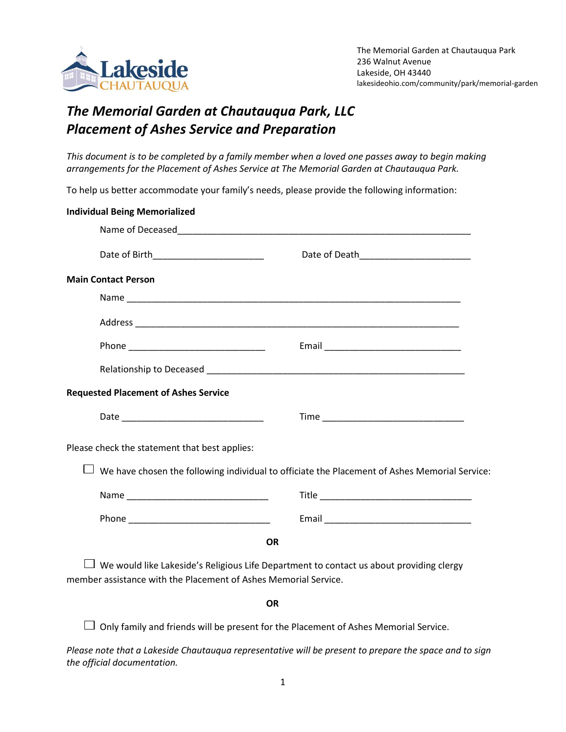

## *The Memorial Garden at Chautauqua Park, LLC Placement of Ashes Service and Preparation*

*This document is to be completed by a family member when a loved one passes away to begin making arrangements for the Placement of Ashes Service at The Memorial Garden at Chautauqua Park.*

To help us better accommodate your family's needs, please provide the following information:

| <b>Individual Being Memorialized</b>                            |                                                                                               |
|-----------------------------------------------------------------|-----------------------------------------------------------------------------------------------|
|                                                                 |                                                                                               |
| Date of Birth____________________________                       |                                                                                               |
| <b>Main Contact Person</b>                                      |                                                                                               |
|                                                                 |                                                                                               |
|                                                                 |                                                                                               |
|                                                                 |                                                                                               |
|                                                                 |                                                                                               |
| <b>Requested Placement of Ashes Service</b>                     |                                                                                               |
|                                                                 |                                                                                               |
| Please check the statement that best applies:                   |                                                                                               |
|                                                                 | We have chosen the following individual to officiate the Placement of Ashes Memorial Service: |
|                                                                 |                                                                                               |
|                                                                 |                                                                                               |
|                                                                 | <b>OR</b>                                                                                     |
| member assistance with the Placement of Ashes Memorial Service. | We would like Lakeside's Religious Life Department to contact us about providing clergy       |

## **OR**

 $\Box$  Only family and friends will be present for the Placement of Ashes Memorial Service.

*Please note that a Lakeside Chautauqua representative will be present to prepare the space and to sign the official documentation.*